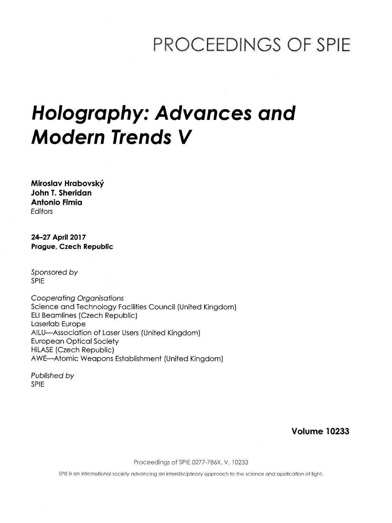## PROCEEDINGS OF SPIE

# Holography: Advances and Modern Trends V

Miroslav Hrabovsky John T. Sheridan Antonio Fimia **Editors** 

24-27 April 2017 Prague, Czech Republic

Sponsored by SPIE

Cooperating Organisations Science and Technology Facilities Council (United Kingdom) ELI Beamlines (Czech Republic) Laserlab Europe AILU—Association of Laser Users (United Kingdom) European Optical Society HiLASE (Czech Republic) AWE—Atomic Weapons Establishment (United Kingdom)

Published by SPIE

Volume 10233

Proceedings of SPIE 0277-786X, V. 10233

SPIE is an international society advancing an interdisciplinary approach to the science and application of light.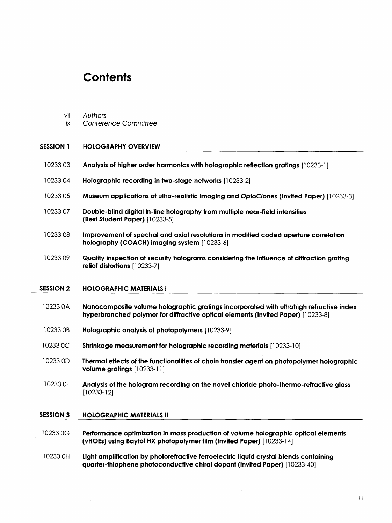### **Contents**

- vii Authors
- ix Conference Committee

#### SESSION <sup>1</sup> HOLOGRAPHY OVERVIEW

| 1023303          | Analysis of higher order harmonics with holographic reflection gratings [10233-1]                                                                                          |
|------------------|----------------------------------------------------------------------------------------------------------------------------------------------------------------------------|
| 1023304          | Holographic recording in two-stage networks [10233-2]                                                                                                                      |
| 1023305          | Museum applications of ultra-realistic imaging and OptoClones (Invited Paper) [10233-3]                                                                                    |
| 1023307          | Double-blind digital in-line holography from multiple near-field intensities<br>(Best Student Paper) $[10233-5]$                                                           |
| 1023308          | Improvement of spectral and axial resolutions in modified coded aperture correlation<br>holography (COACH) imaging system [10233-6]                                        |
| 1023309          | Quality inspection of security holograms considering the influence of diffraction grating<br>relief distortions [10233-7]                                                  |
| <b>SESSION 2</b> | <b>HOLOGRAPHIC MATERIALS I</b>                                                                                                                                             |
| 10233 0A         | Nanocomposite volume holographic gratings incorporated with ultrahigh refractive index<br>hyperbranched polymer for diffractive optical elements (Invited Paper) [10233-8] |
| 10233 OB         | <b>Holographic analysis of photopolymers</b> [10233-9]                                                                                                                     |
| 10233 OC         | <b>Shrinkage measurement for holographic recording materials</b> [10233-10]                                                                                                |

- 10233 0D Thermal effects of the functionalities of chain transfer agent on photopolymer holographic volume gratings [10233-11]
- 10233 0E Analysis of the hologram recording on the novel chloride photo-thermo-refractive glass [10233-12]

#### SESSION 3 HOLOGRAPHIC MATERIALS II

- <sup>10233</sup> 0G Performance optimization in mass production of volume holographic optical elements (vHOEs) using Bayfol HX photopolymer film (Invited Paper) [10233-14]
- 10233 0H Light amplification by photorefractive ferroelectric liquid crystal blends containing quarter-thiophene photoconductive chiral dopant (Invited Paper) [10233-40]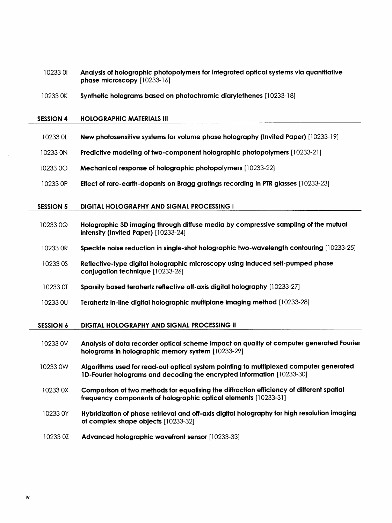| 1023301 | Analysis of holographic photopolymers for integrated optical systems via quantitative |
|---------|---------------------------------------------------------------------------------------|
|         | <b>phase microscopy</b> $[10233-16]$                                                  |

OK Synthetic holograms based on photochromic diarylethenes [10233-18]

#### SESSION 4 HOLOGRAPHIC MATERIALS III

- 0L New photosensitive systems for volume phase holography (Invited Paper) [10233-19]
- ON Predictive modeling of two-component holographic photopolymers [10233-21]
- 00 Mechanical response of holographic photopolymers [10233-22]
- OP Effect of rare-earth-dopants on Bragg gratings recording in PTR glasses [10233-23]

#### SESSION 5 DIGITAL HOLOGRAPHY AND SIGNAL PROCESSING I

- OQ Holographic 3D imaging through diffuse media by compressive sampling of the mutual intensity (Invited Paper) [10233-24]
- OR Speckle noise reduction in single-shot holographic two-wavelength contouring [10233-25]
- OS Reflective-type digital holographic microscopy using induced self-pumped phase conjugation technique [10233-26]
- 0T Sparsity based terahertz reflective off-axis digital holography [10233-27]
- OU Terahertz in-line digital holographic multiplane imaging method [10233-28]

#### SESSION <sup>6</sup> DIGITAL HOLOGRAPHY AND SIGNAL PROCESSING II

| 10233 0V | Analysis of data recorder optical scheme impact on quality of computer generated Fourier<br>holograms in holographic memory system [10233-29]                           |
|----------|-------------------------------------------------------------------------------------------------------------------------------------------------------------------------|
| 10233 0W | Algorithms used for read-out optical system pointing to multiplexed computer generated<br><b>1D-Fourier holograms and decoding the encrypted information</b> [10233-30] |
| 10233 0X | Comparison of two methods for equalising the diffraction efficiency of different spatial<br>frequency components of holographic optical elements [10233-31]             |

- OY Hybridization of phase retrieval and off-axis digital holography for high resolution imaging of complex shape objects [10233-32]
- OZ Advanced holographic wavefront sensor [10233-33]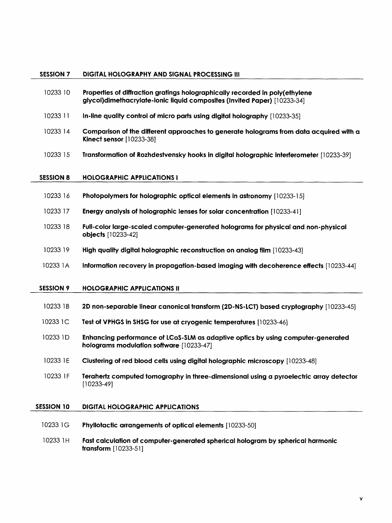#### SESSION <sup>7</sup> DIGITAL HOLOGRAPHY AND SIGNAL PROCESSING III

- 10233 <sup>10</sup> Properties of diffraction gratings holographically recorded in poly(ethylene glycol)dimethacrylate-ionic liquid composites (Invited Paper) [10233-34]
- 10233 <sup>11</sup> In-line quality control of micro parts using digital holography [10233-35]
- 10233 14 Comparison of the different approaches to generate holograms from data acquired with a Kinect sensor [10233-38]
- 10233 <sup>15</sup> Transformation of Rozhdestvensky hooks in digital holographic interferometer [10233-39]

#### SESSION 8 HOLOGRAPHIC APPLICATIONS I

- 10233 16 Photopolymers for holographic optical elements in astronomy [10233-15]
- 10233 17 Energy analysis of holographic lenses for solar concentration [10233-41 ]
- 10233 18 Full-color large-scaled computer-generated holograms for physical and non-physical objects [10233-42]
- 10233 <sup>19</sup> High quality digital holographic reconstruction on analog film [10233-43]
- 10233 1A Information recovery in propagation-based imaging with decoherence effects [10233-44]

#### SESSION 9 HOLOGRAPHIC APPLICATIONS II

- <sup>10233</sup> IB 2D non-separable linear canonical transform (2D-NS-LCT) based cryptography [10233-45]
- 10233 1C Test of VPHGS in SHSG for use at cryogenic temperatures [10233-46]
- 10233 ID Enhancing performance of LCoS-SLM as adaptive optics by using computer-generated holograms modulation software [10233-47]
- 10233 IE Clustering of red blood cells using digital holographic microscopy [10233-48]
- 10233 IF Terahertz computed tomography in three-dimensional using a pyroelectric array detector [10233-49]

#### SESSION 10 DIGITAL HOLOGRAPHIC APPLICATIONS

- 10233 1G Phyllotactic arrangements of optical elements [10233-50]
- 10233 1H Fast calculation of computer-generated spherical hologram by spherical harmonic transform [10233-51]